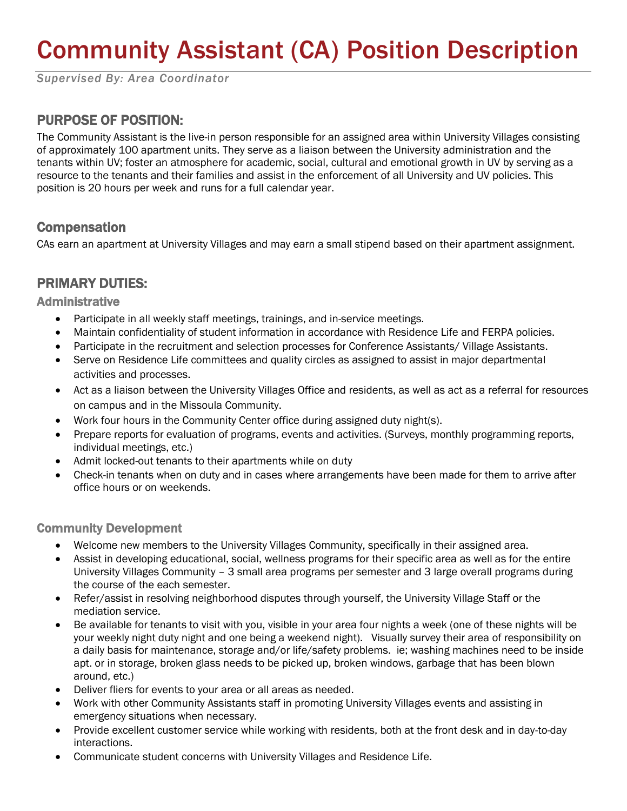# Community Assistant (CA) Position Description

*Supervised By: Area Coordinator*

## PURPOSE OF POSITION:

The Community Assistant is the live-in person responsible for an assigned area within University Villages consisting of approximately 100 apartment units. They serve as a liaison between the University administration and the tenants within UV; foster an atmosphere for academic, social, cultural and emotional growth in UV by serving as a resource to the tenants and their families and assist in the enforcement of all University and UV policies. This position is 20 hours per week and runs for a full calendar year.

### **Compensation**

CAs earn an apartment at University Villages and may earn a small stipend based on their apartment assignment.

## PRIMARY DUTIES:

Administrative

- Participate in all weekly staff meetings, trainings, and in-service meetings.
- Maintain confidentiality of student information in accordance with Residence Life and FERPA policies.
- Participate in the recruitment and selection processes for Conference Assistants/ Village Assistants.
- Serve on Residence Life committees and quality circles as assigned to assist in major departmental activities and processes.
- Act as a liaison between the University Villages Office and residents, as well as act as a referral for resources on campus and in the Missoula Community.
- Work four hours in the Community Center office during assigned duty night(s).
- Prepare reports for evaluation of programs, events and activities. (Surveys, monthly programming reports, individual meetings, etc.)
- Admit locked-out tenants to their apartments while on duty
- Check-in tenants when on duty and in cases where arrangements have been made for them to arrive after office hours or on weekends.

#### Community Development

- Welcome new members to the University Villages Community, specifically in their assigned area.
- Assist in developing educational, social, wellness programs for their specific area as well as for the entire University Villages Community – 3 small area programs per semester and 3 large overall programs during the course of the each semester.
- Refer/assist in resolving neighborhood disputes through yourself, the University Village Staff or the mediation service.
- Be available for tenants to visit with you, visible in your area four nights a week (one of these nights will be your weekly night duty night and one being a weekend night). Visually survey their area of responsibility on a daily basis for maintenance, storage and/or life/safety problems. ie; washing machines need to be inside apt. or in storage, broken glass needs to be picked up, broken windows, garbage that has been blown around, etc.)
- Deliver fliers for events to your area or all areas as needed.
- Work with other Community Assistants staff in promoting University Villages events and assisting in emergency situations when necessary.
- Provide excellent customer service while working with residents, both at the front desk and in day-to-day interactions.
- Communicate student concerns with University Villages and Residence Life.